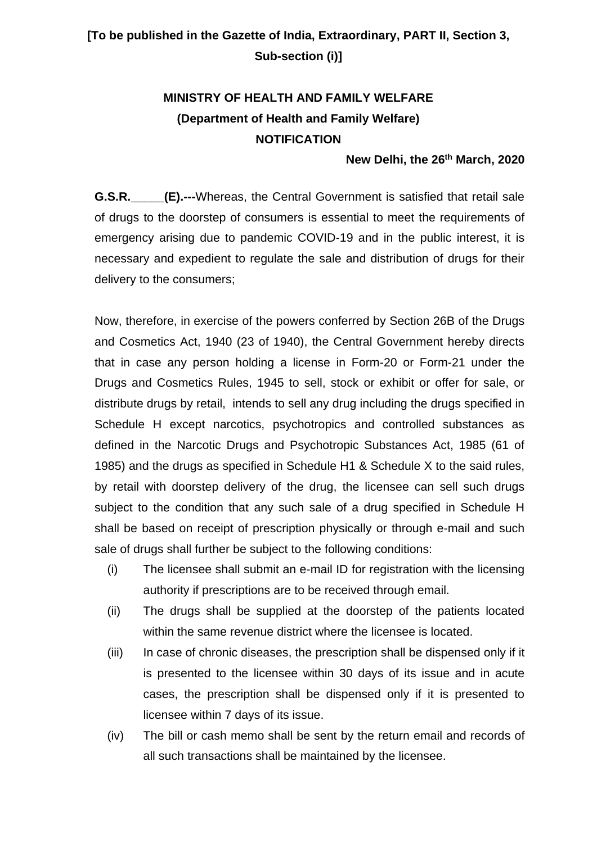## **[To be published in the Gazette of India, Extraordinary, PART II, Section 3, Sub-section (i)]**

## **MINISTRY OF HEALTH AND FAMILY WELFARE (Department of Health and Family Welfare) NOTIFICATION**

## **New Delhi, the 26th March, 2020**

**G.S.R.** (E).---Whereas, the Central Government is satisfied that retail sale of drugs to the doorstep of consumers is essential to meet the requirements of emergency arising due to pandemic COVID-19 and in the public interest, it is necessary and expedient to regulate the sale and distribution of drugs for their delivery to the consumers;

Now, therefore, in exercise of the powers conferred by Section 26B of the Drugs and Cosmetics Act, 1940 (23 of 1940), the Central Government hereby directs that in case any person holding a license in Form-20 or Form-21 under the Drugs and Cosmetics Rules, 1945 to sell, stock or exhibit or offer for sale, or distribute drugs by retail, intends to sell any drug including the drugs specified in Schedule H except narcotics, psychotropics and controlled substances as defined in the Narcotic Drugs and Psychotropic Substances Act, 1985 (61 of 1985) and the drugs as specified in Schedule H1 & Schedule X to the said rules, by retail with doorstep delivery of the drug, the licensee can sell such drugs subject to the condition that any such sale of a drug specified in Schedule H shall be based on receipt of prescription physically or through e-mail and such sale of drugs shall further be subject to the following conditions:

- (i) The licensee shall submit an e-mail ID for registration with the licensing authority if prescriptions are to be received through email.
- (ii) The drugs shall be supplied at the doorstep of the patients located within the same revenue district where the licensee is located.
- (iii) In case of chronic diseases, the prescription shall be dispensed only if it is presented to the licensee within 30 days of its issue and in acute cases, the prescription shall be dispensed only if it is presented to licensee within 7 days of its issue.
- (iv) The bill or cash memo shall be sent by the return email and records of all such transactions shall be maintained by the licensee.